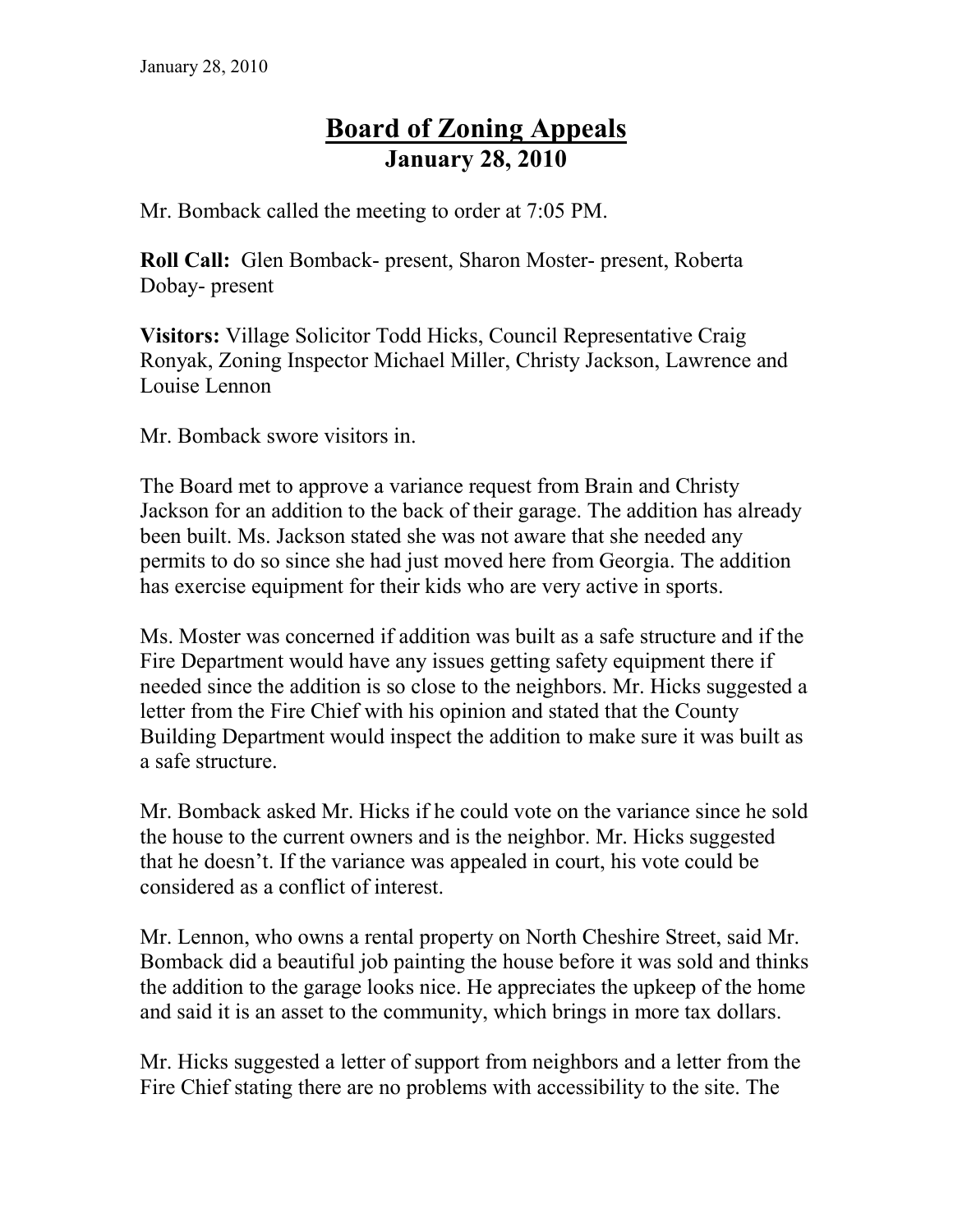## **Board of Zoning Appeals January 28, 2010**

Mr. Bomback called the meeting to order at 7:05 PM.

**Roll Call:** Glen Bomback- present, Sharon Moster- present, Roberta Dobay- present

**Visitors:** Village Solicitor Todd Hicks, Council Representative Craig Ronyak, Zoning Inspector Michael Miller, Christy Jackson, Lawrence and Louise Lennon

Mr. Bomback swore visitors in.

The Board met to approve a variance request from Brain and Christy Jackson for an addition to the back of their garage. The addition has already been built. Ms. Jackson stated she was not aware that she needed any permits to do so since she had just moved here from Georgia. The addition has exercise equipment for their kids who are very active in sports.

Ms. Moster was concerned if addition was built as a safe structure and if the Fire Department would have any issues getting safety equipment there if needed since the addition is so close to the neighbors. Mr. Hicks suggested a letter from the Fire Chief with his opinion and stated that the County Building Department would inspect the addition to make sure it was built as a safe structure.

Mr. Bomback asked Mr. Hicks if he could vote on the variance since he sold the house to the current owners and is the neighbor. Mr. Hicks suggested that he doesn't. If the variance was appealed in court, his vote could be considered as a conflict of interest.

Mr. Lennon, who owns a rental property on North Cheshire Street, said Mr. Bomback did a beautiful job painting the house before it was sold and thinks the addition to the garage looks nice. He appreciates the upkeep of the home and said it is an asset to the community, which brings in more tax dollars.

Mr. Hicks suggested a letter of support from neighbors and a letter from the Fire Chief stating there are no problems with accessibility to the site. The